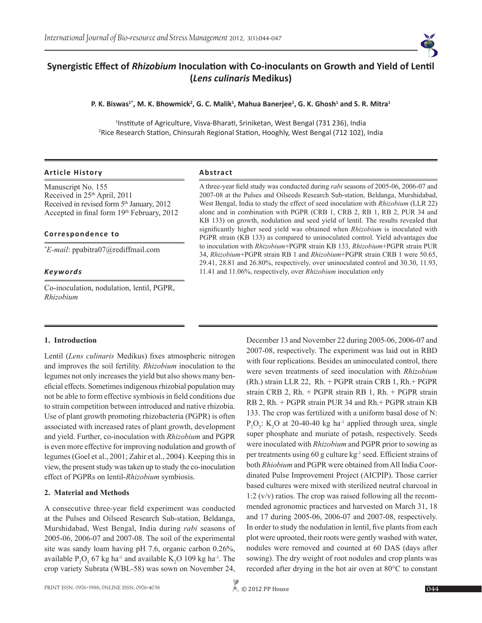

# **Synergistic Effect of** *Rhizobium* **Inoculation with Co-inoculants on Growth and Yield of Lentil (***Lens culinaris* **Medikus)**

**P. K. Biswas1\*, M. K. Bhowmick<sup>2</sup> , G. C. Malik<sup>1</sup> , Mahua Banerjee<sup>1</sup> , G. K. Ghosh<sup>1</sup> and S. R. Mitra<sup>1</sup>**

<sup>1</sup>Institute of Agriculture, Visva-Bharati, Sriniketan, West Bengal (731 236), India <sup>2</sup>Rice Research Station, Chinsurah Regional Station, Hooghly, West Bengal (712 102), India

# **Article History Abstract**

Manuscript No. 155 Received in 25<sup>th</sup> April, 2011 Received in revised form 5<sup>th</sup> January, 2012 Accepted in final form 19th February, 2012

## **Correspondence to**

*\* E-mail*: ppabitra07@rediffmail.com

#### *Keywords*

Co-inoculation, nodulation, lentil, PGPR, *Rhizobium*

A three-year field study was conducted during *rabi* seasons of 2005-06, 2006-07 and 2007-08 at the Pulses and Oilseeds Research Sub-station, Beldanga, Murshidabad, West Bengal, India to study the effect of seed inoculation with *Rhizobium* (LLR 22) alone and in combination with PGPR (CRB 1, CRB 2, RB 1, RB 2, PUR 34 and KB 133) on growth, nodulation and seed yield of lentil. The results revealed that significantly higher seed yield was obtained when *Rhizobium* is inoculated with PGPR strain (KB 133) as compared to uninoculated control. Yield advantages due to inoculation with *Rhizobium*+PGPR strain KB 133, *Rhizobium*+PGPR strain PUR 34, *Rhizobium*+PGPR strain RB 1 and *Rhizobium*+PGPR strain CRB 1 were 50.65, 29.41, 28.81 and 26.80%, respectively, over uninoculated control and 30.30, 11.93, 11.41 and 11.06%, respectively, over *Rhizobium* inoculation only

## **1. Introduction**

Lentil (*Lens culinaris* Medikus) fixes atmospheric nitrogen and improves the soil fertility. *Rhizobium* inoculation to the legumes not only increases the yield but also shows many beneficial effects. Sometimes indigenous rhizobial population may not be able to form effective symbiosis in field conditions due to strain competition between introduced and native rhizobia. Use of plant growth promoting rhizobacteria (PGPR) is often associated with increased rates of plant growth, development and yield. Further, co-inoculation with *Rhizobium* and PGPR is even more effective for improving nodulation and growth of legumes (Goel et al., 2001; Zahir et al., 2004). Keeping this in view, the present study was taken up to study the co-inoculation effect of PGPRs on lentil-*Rhizobium* symbiosis.

## **2. Material and Methods**

A consecutive three-year field experiment was conducted at the Pulses and Oilseed Research Sub-station, Beldanga, Murshidabad, West Bengal, India during *rabi* seasons of 2005-06, 2006-07 and 2007-08. The soil of the experimental site was sandy loam having pH 7.6, organic carbon 0.26%, available  $P_2O_5$  67 kg ha<sup>-1</sup> and available  $K_2O$  109 kg ha<sup>-1</sup>. The crop variety Subrata (WBL-58) was sown on November 24,

December 13 and November 22 during 2005-06, 2006-07 and 2007-08, respectively. The experiment was laid out in RBD with four replications. Besides an uninoculated control, there were seven treatments of seed inoculation with *Rhizobium* (Rh.) strain LLR 22, Rh. + PGPR strain CRB 1, Rh.+ PGPR strain CRB 2, Rh. + PGPR strain RB 1, Rh. + PGPR strain RB 2, Rh. + PGPR strain PUR 34 and Rh.+ PGPR strain KB 133. The crop was fertilized with a uniform basal dose of N:  $P_2O_5$ : K<sub>2</sub>O at 20-40-40 kg ha<sup>-1</sup> applied through urea, single super phosphate and muriate of potash, respectively. Seeds were inoculated with *Rhizobium* and PGPR prior to sowing as per treatments using 60 g culture kg-1 seed. Efficient strains of both *Rhiobium* and PGPR were obtained from All India Coordinated Pulse Improvement Project (AICPIP). Those carrier based cultures were mixed with sterilized neutral charcoal in 1:2 (v/v) ratios. The crop was raised following all the recommended agronomic practices and harvested on March 31, 18 and 17 during 2005-06, 2006-07 and 2007-08, respectively. In order to study the nodulation in lentil, five plants from each plot were uprooted, their roots were gently washed with water, nodules were removed and counted at 60 DAS (days after sowing). The dry weight of root nodules and crop plants was recorded after drying in the hot air oven at 80°C to constant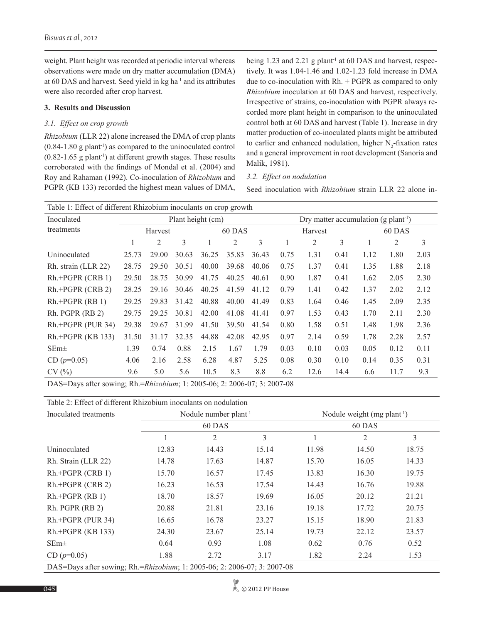weight. Plant height was recorded at periodic interval whereas observations were made on dry matter accumulation (DMA) at 60 DAS and harvest. Seed yield in kg ha-1 and its attributes were also recorded after crop harvest.

# **3. Results and Discussion**

## *3.1. Effect on crop growth*

*Rhizobium* (LLR 22) alone increased the DMA of crop plants  $(0.84-1.80 \text{ g plant}^{-1})$  as compared to the uninoculated control  $(0.82-1.65 \text{ g plant}^{\text{-1}})$  at different growth stages. These results corroborated with the findings of Mondal et al. (2004) and Roy and Rahaman (1992). Co-inoculation of *Rhizobium* and PGPR (KB 133) recorded the highest mean values of DMA, being 1.23 and 2.21 g plant<sup>-1</sup> at 60 DAS and harvest, respectively. It was 1.04-1.46 and 1.02-1.23 fold increase in DMA due to co-inoculation with Rh. + PGPR as compared to only *Rhizobium* inoculation at 60 DAS and harvest, respectively. Irrespective of strains, co-inoculation with PGPR always recorded more plant height in comparison to the uninoculated control both at 60 DAS and harvest (Table 1). Increase in dry matter production of co-inoculated plants might be attributed to earlier and enhanced nodulation, higher  $N_2$ -fixation rates and a general improvement in root development (Sanoria and Malik, 1981).

#### *3.2. Effect on nodulation*

Seed inoculation with *Rhizobium* strain LLR 22 alone in-

| Table 1: Effect of different Rhizobium inoculants on crop growth |                   |                |       |        |       |       |      |                                                  |      |        |      |      |  |  |
|------------------------------------------------------------------|-------------------|----------------|-------|--------|-------|-------|------|--------------------------------------------------|------|--------|------|------|--|--|
| Inoculated                                                       | Plant height (cm) |                |       |        |       |       |      | Dry matter accumulation (g plant <sup>-1</sup> ) |      |        |      |      |  |  |
| treatments                                                       |                   | Harvest        |       | 60 DAS |       |       |      | Harvest                                          |      | 60 DAS |      |      |  |  |
|                                                                  |                   | $\overline{2}$ | 3     |        | 2     | 3     |      | $\overline{2}$                                   | 3    |        | 2    | 3    |  |  |
| Uninoculated                                                     | 25.73             | 29.00          | 30.63 | 36.25  | 35.83 | 36.43 | 0.75 | 1.31                                             | 0.41 | 1.12   | 1.80 | 2.03 |  |  |
| Rh. strain (LLR 22)                                              | 28.75             | 29.50          | 30.51 | 40.00  | 39.68 | 40.06 | 0.75 | 1.37                                             | 0.41 | 1.35   | 1.88 | 2.18 |  |  |
| $Rh.+PGPR(CRB1)$                                                 | 29.50             | 28.75          | 30.99 | 41.75  | 40.25 | 40.61 | 0.90 | 1.87                                             | 0.41 | 1.62   | 2.05 | 2.30 |  |  |
| $Rh.+PGPR(CRB2)$                                                 | 28.25             | 29.16          | 30.46 | 40.25  | 41.59 | 41.12 | 0.79 | 1.41                                             | 0.42 | 1.37   | 2.02 | 2.12 |  |  |
| $Rh.+PGPR(RB1)$                                                  | 29.25             | 29.83          | 31.42 | 40.88  | 40.00 | 41.49 | 0.83 | 1.64                                             | 0.46 | 1.45   | 2.09 | 2.35 |  |  |
| Rh. PGPR (RB 2)                                                  | 29.75             | 29.25          | 30.81 | 42.00  | 41.08 | 41.41 | 0.97 | 1.53                                             | 0.43 | 1.70   | 2.11 | 2.30 |  |  |
| Rh.+PGPR (PUR 34)                                                | 29.38             | 29.67          | 31.99 | 41.50  | 39.50 | 41.54 | 0.80 | 1.58                                             | 0.51 | 1.48   | 1.98 | 2.36 |  |  |
| Rh.+PGPR (KB 133)                                                | 31.50             | 31.17          | 32.35 | 44.88  | 42.08 | 42.95 | 0.97 | 2.14                                             | 0.59 | 1.78   | 2.28 | 2.57 |  |  |
| $SEm\pm$                                                         | 1.39              | 0.74           | 0.88  | 2.15   | 1.67  | 1.79  | 0.03 | 0.10                                             | 0.03 | 0.05   | 0.12 | 0.11 |  |  |
| $CD (p=0.05)$                                                    | 4.06              | 2.16           | 2.58  | 6.28   | 4.87  | 5.25  | 0.08 | 0.30                                             | 0.10 | 0.14   | 0.35 | 0.31 |  |  |
| CV(%)                                                            | 9.6               | 5.0            | 5.6   | 10.5   | 8.3   | 8.8   | 6.2  | 12.6                                             | 14.4 | 6.6    | 11.7 | 9.3  |  |  |

DAS=Days after sowing; Rh.=*Rhizobium*; 1: 2005-06; 2: 2006-07; 3: 2007-08

| Table 2: Effect of different Rhizobium inoculants on nodulation                                                |       |                            |       |                                         |        |       |  |  |
|----------------------------------------------------------------------------------------------------------------|-------|----------------------------|-------|-----------------------------------------|--------|-------|--|--|
| Inoculated treatments                                                                                          |       | Nodule number $plant^{-1}$ |       | Nodule weight (mg plant <sup>-1</sup> ) |        |       |  |  |
|                                                                                                                |       | 60 DAS                     |       |                                         | 60 DAS |       |  |  |
|                                                                                                                |       | 2                          | 3     |                                         | 2      | 3     |  |  |
| Uninoculated                                                                                                   | 12.83 | 14.43                      | 15.14 | 11.98                                   | 14.50  | 18.75 |  |  |
| Rh. Strain (LLR 22)                                                                                            | 14.78 | 17.63                      | 14.87 | 15.70                                   | 16.05  | 14.33 |  |  |
| $Rh.+PGPR(CRB1)$                                                                                               | 15.70 | 16.57                      | 17.45 | 13.83                                   | 16.30  | 19.75 |  |  |
| Rh.+PGPR (CRB 2)                                                                                               | 16.23 | 16.53                      | 17.54 | 14.43                                   | 16.76  | 19.88 |  |  |
| $Rh.+PGPR(RB1)$                                                                                                | 18.70 | 18.57                      | 19.69 | 16.05                                   | 20.12  | 21.21 |  |  |
| Rh. PGPR (RB 2)                                                                                                | 20.88 | 21.81                      | 23.16 | 19.18                                   | 17.72  | 20.75 |  |  |
| Rh.+PGPR (PUR 34)                                                                                              | 16.65 | 16.78                      | 23.27 | 15.15                                   | 18.90  | 21.83 |  |  |
| $Rh.+PGPR(KB133)$                                                                                              | 24.30 | 23.67                      | 25.14 | 19.73                                   | 22.12  | 23.57 |  |  |
| $SEm\pm$                                                                                                       | 0.64  | 0.93                       | 1.08  | 0.62                                    | 0.76   | 0.52  |  |  |
| $CD (p=0.05)$                                                                                                  | 1.88  | 2.72                       | 3.17  | 1.82                                    | 2.24   | 1.53  |  |  |
| $DA$ $C = \text{Dose}$ often coving: $Db = \text{D}b$ is objective $1:2005$ , $06:2:2006$ , $07:2:2007$ , $09$ |       |                            |       |                                         |        |       |  |  |

DAS=Days after sowing; Rh.=*Rhizobium*; 1: 2005-06; 2: 2006-07; 3: 2007-08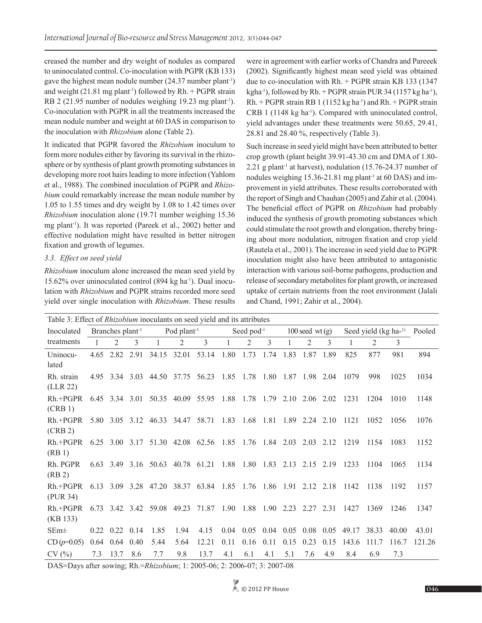creased the number and dry weight of nodules as compared to uninoculated control. Co-inoculation with PGPR (KB 133) gave the highest mean nodule number (24.37 number plant-1) and weight  $(21.81 \text{ mg plant}^1)$  followed by Rh. + PGPR strain RB 2 (21.95 number of nodules weighing 19.23 mg plant<sup>-1</sup>). Co-inoculation with PGPR in all the treatments increased the mean nodule number and weight at 60 DAS in comparison to the inoculation with *Rhizobium* alone (Table 2).

It indicated that PGPR favored the *Rhizobium* inoculum to form more nodules either by favoring its survival in the rhizosphere or by synthesis of plant growth promoting substances in developing more root hairs leading to more infection (Yahlom et al., 1988). The combined inoculation of PGPR and *Rhizobium* could remarkably increase the mean nodule number by 1.05 to 1.55 times and dry weight by 1.08 to 1.42 times over *Rhizobium* inoculation alone (19.71 number weighing 15.36 mg plant-1). It was reported (Pareek et al., 2002) better and effective nodulation might have resulted in better nitrogen fixation and growth of legumes.

#### *3.3. Effect on seed yield*

*Rhizobium* inoculum alone increased the mean seed yield by 15.62% over uninoculated control (894 kg ha-1). Dual inoculation with *Rhizobium* and PGPR strains recorded more seed yield over single inoculation with *Rhizobium*. These results

were in agreement with earlier works of Chandra and Pareeek (2002). Significantly highest mean seed yield was obtained due to co-inoculation with Rh. + PGPR strain KB 133 (1347 kgha<sup>-1</sup>), followed by Rh. + PGPR strain PUR 34 (1157 kg ha<sup>-1</sup>),  $Rh. + PGPR strain RB 1 (1152 kg ha<sup>-1</sup>)$  and  $Rh. + PGPR strain$ CRB 1 (1148 kg ha<sup>-1</sup>). Compared with uninoculated control, yield advantages under these treatments were 50.65, 29.41, 28.81 and 28.40 %, respectively (Table 3).

Such increase in seed yield might have been attributed to better crop growth (plant height 39.91-43.30 cm and DMA of 1.80- 2.21 g plant<sup>-1</sup> at harvest), nodulation  $(15.76-24.37$  number of nodules weighing 15.36-21.81 mg plant<sup>-1</sup> at 60 DAS) and improvement in yield attributes. These results corroborated with the report of Singh and Chauhan (2005) and Zahir et al. (2004). The beneficial effect of PGPR on *Rhizobium* had probably induced the synthesis of growth promoting substances which could stimulate the root growth and elongation, thereby bringing about more nodulation, nitrogen fixation and crop yield (Rautela et al., 2001). The increase in seed yield due to PGPR inoculation might also have been attributed to antagonistic interaction with various soil-borne pathogens, production and release of secondary metabolites for plant growth, or increased uptake of certain nutrients from the root environment (Jalali and Chand, 1991; Zahir et al., 2004).

| Table 3: Effect of <i>Rhizobium</i> inoculants on seed yield and its attributes |              |                              |      |                            |                        |                                                                |      |                                 |                |      |                        |      |              |                |       |        |
|---------------------------------------------------------------------------------|--------------|------------------------------|------|----------------------------|------------------------|----------------------------------------------------------------|------|---------------------------------|----------------|------|------------------------|------|--------------|----------------|-------|--------|
| Branches plant <sup>-1</sup><br>Inoculated                                      |              | Pod plant <sup>-1</sup>      |      |                            | Seed pod <sup>-1</sup> |                                                                |      | $100$ seed wt $(g)$             |                |      | Seed yield $(kg ha-1)$ |      |              | Pooled         |       |        |
| treatments                                                                      | $\mathbf{1}$ | $\overline{2}$               | 3    |                            | $\overline{2}$         | 3                                                              |      | $\mathfrak{D}$                  | 3              | 1    | $\overline{2}$         | 3    | $\mathbf{1}$ | $\overline{2}$ | 3     |        |
| Uninocu-<br>lated                                                               | 4.65         | 2.82                         | 2.91 | 34.15                      | 32.01                  | 53.14                                                          | 1.80 | 1.73                            | 1.74           | 1.83 | 1.87                   | 1.89 | 825          | 877            | 981   | 894    |
| Rh. strain<br>(LLR 22)                                                          |              |                              |      |                            |                        | 4.95 3.34 3.03 44.50 37.75 56.23 1.85 1.78 1.80 1.87 1.98 2.04 |      |                                 |                |      |                        |      | 1079         | 998            | 1025  | 1034   |
| $Rh + PGPR$<br>(CRB1)                                                           |              |                              |      |                            |                        | 6.45 3.34 3.01 50.35 40.09 55.95 1.88 1.78 1.79 2.10 2.06 2.02 |      |                                 |                |      |                        |      | 1231         | 1204           | 1010  | 1148   |
| $Rh + PGPR$<br>(CRB 2)                                                          |              | 5.80 3.05                    |      | 3.12 46.33 34.47 58.71     |                        |                                                                | 1.83 | 1.68 1.81                       |                |      | 1.89 2.24 2.10         |      | 1121         | 1052           | 1056  | 1076   |
| $Rh + PGPR$<br>(RB1)                                                            |              |                              |      |                            |                        | 6.25 3.00 3.17 51.30 42.08 62.56 1.85 1.76 1.84 2.03 2.03      |      |                                 |                |      |                        | 2.12 | 1219         | 1154           | 1083  | 1152   |
| Rh. PGPR<br>(RB2)                                                               |              |                              |      |                            |                        | 6.63 3.49 3.16 50.63 40.78 61.21 1.88 1.80 1.83 2.13 2.15 2.19 |      |                                 |                |      |                        |      | 1233         | 1104           | 1065  | 1134   |
| $Rh + PGPR$<br>(PUR 34)                                                         |              | 6.13 3.09                    |      |                            |                        | 3.28 47.20 38.37 63.84 1.85 1.76 1.86 1.91 2.12 2.18           |      |                                 |                |      |                        |      | 1142         | 1138           | 1192  | 1157   |
| $Rh + PGPR$<br>(KB 133)                                                         |              |                              |      | 6.73 3.42 3.42 59.08 49.23 |                        | 71.87                                                          | 1.90 |                                 | 1.88 1.90 2.23 |      | 2.27                   | 2.31 | 1427         | 1369           | 1246  | 1347   |
| $SEm\pm$                                                                        |              | $0.22 \quad 0.22 \quad 0.14$ |      | 1.85                       | 1.94                   | 4.15                                                           |      | $0.04$ 0.05 0.04 0.05 0.08 0.05 |                |      |                        |      | 49.17        | 38.33          | 40.00 | 43.01  |
| $CD(p=0.05)$                                                                    | 0.64         | 0.64                         | 0.40 | 5.44                       | 5.64                   | 12.21                                                          | 0.11 | 0.16                            | 0.11           | 0.15 | 0.23                   | 0.15 | 143.6        | 111.7          | 116.7 | 121.26 |
| CV(%)                                                                           | 7.3          | 13.7                         | 8.6  | 7.7                        | 9.8                    | 13.7                                                           | 4.1  | 6.1                             | 4.1            | 5.1  | 7.6                    | 4.9  | 8.4          | 6.9            | 7.3   |        |

DAS=Days after sowing; Rh.=*Rhizobium*; 1: 2005-06; 2: 2006-07; 3: 2007-08